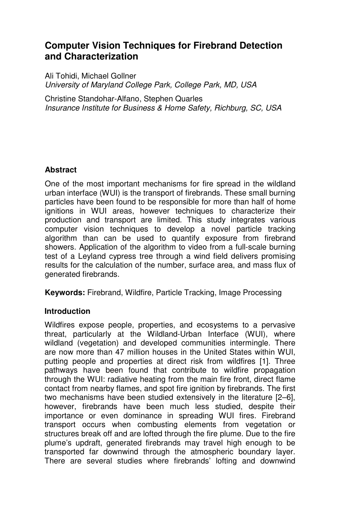# **Computer Vision Techniques for Firebrand Detection and Characterization**

Ali Tohidi, Michael Gollner University of Maryland College Park, College Park, MD, USA

Christine Standohar-Alfano, Stephen Quarles Insurance Institute for Business & Home Safety, Richburg, SC, USA

## **Abstract**

One of the most important mechanisms for fire spread in the wildland urban interface (WUI) is the transport of firebrands. These small burning particles have been found to be responsible for more than half of home ignitions in WUI areas, however techniques to characterize their production and transport are limited. This study integrates various computer vision techniques to develop a novel particle tracking algorithm than can be used to quantify exposure from firebrand showers. Application of the algorithm to video from a full-scale burning test of a Leyland cypress tree through a wind field delivers promising results for the calculation of the number, surface area, and mass flux of generated firebrands.

**Keywords:** Firebrand, Wildfire, Particle Tracking, Image Processing

## **Introduction**

Wildfires expose people, properties, and ecosystems to a pervasive threat, particularly at the Wildland-Urban Interface (WUI), where wildland (vegetation) and developed communities intermingle. There are now more than 47 million houses in the United States within WUI, putting people and properties at direct risk from wildfires [1]. Three pathways have been found that contribute to wildfire propagation through the WUI: radiative heating from the main fire front, direct flame contact from nearby flames, and spot fire ignition by firebrands. The first two mechanisms have been studied extensively in the literature [2–6], however, firebrands have been much less studied, despite their importance or even dominance in spreading WUI fires. Firebrand transport occurs when combusting elements from vegetation or structures break off and are lofted through the fire plume. Due to the fire plume's updraft, generated firebrands may travel high enough to be transported far downwind through the atmospheric boundary layer. There are several studies where firebrands' lofting and downwind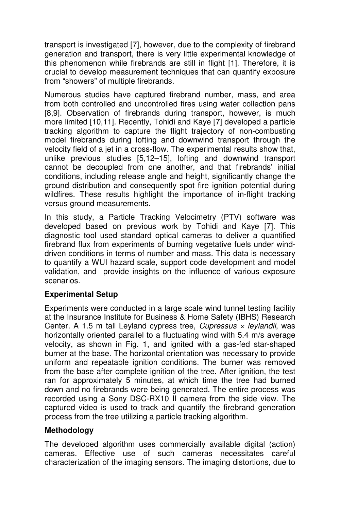transport is investigated [7], however, due to the complexity of firebrand generation and transport, there is very little experimental knowledge of this phenomenon while firebrands are still in flight [1]. Therefore, it is crucial to develop measurement techniques that can quantify exposure from "showers" of multiple firebrands.

Numerous studies have captured firebrand number, mass, and area from both controlled and uncontrolled fires using water collection pans [8,9]. Observation of firebrands during transport, however, is much more limited [10,11]. Recently, Tohidi and Kaye [7] developed a particle tracking algorithm to capture the flight trajectory of non-combusting model firebrands during lofting and downwind transport through the velocity field of a jet in a cross-flow. The experimental results show that, unlike previous studies [5,12–15], lofting and downwind transport cannot be decoupled from one another, and that firebrands' initial conditions, including release angle and height, significantly change the ground distribution and consequently spot fire ignition potential during wildfires. These results highlight the importance of in-flight tracking versus ground measurements.

In this study, a Particle Tracking Velocimetry (PTV) software was developed based on previous work by Tohidi and Kaye [7]. This diagnostic tool used standard optical cameras to deliver a quantified firebrand flux from experiments of burning vegetative fuels under winddriven conditions in terms of number and mass. This data is necessary to quantify a WUI hazard scale, support code development and model validation, and provide insights on the influence of various exposure scenarios.

## **Experimental Setup**

Experiments were conducted in a large scale wind tunnel testing facility at the Insurance Institute for Business & Home Safety (IBHS) Research Center. A 1.5 m tall Leyland cypress tree, Cupressus  $\times$  leylandii, was horizontally oriented parallel to a fluctuating wind with 5.4 m/s average velocity, as shown in Fig. 1, and ignited with a gas-fed star-shaped burner at the base. The horizontal orientation was necessary to provide uniform and repeatable ignition conditions. The burner was removed from the base after complete ignition of the tree. After ignition, the test ran for approximately 5 minutes, at which time the tree had burned down and no firebrands were being generated. The entire process was recorded using a Sony DSC-RX10 II camera from the side view. The captured video is used to track and quantify the firebrand generation process from the tree utilizing a particle tracking algorithm.

#### **Methodology**

The developed algorithm uses commercially available digital (action) cameras. Effective use of such cameras necessitates careful characterization of the imaging sensors. The imaging distortions, due to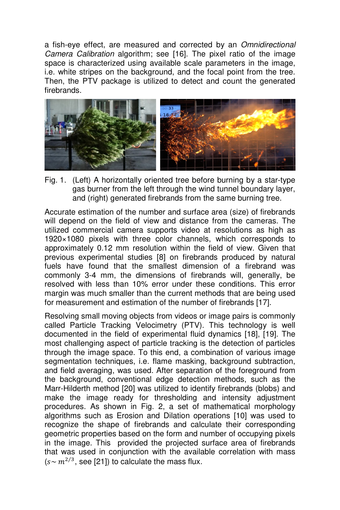a fish-eye effect, are measured and corrected by an Omnidirectional Camera Calibration algorithm; see [16]. The pixel ratio of the image space is characterized using available scale parameters in the image, i.e. white stripes on the background, and the focal point from the tree. Then, the PTV package is utilized to detect and count the generated firebrands.



Fig. 1. (Left) A horizontally oriented tree before burning by a star-type gas burner from the left through the wind tunnel boundary layer, and (right) generated firebrands from the same burning tree.

Accurate estimation of the number and surface area (size) of firebrands will depend on the field of view and distance from the cameras. The utilized commercial camera supports video at resolutions as high as 1920×1080 pixels with three color channels, which corresponds to approximately 0.12 mm resolution within the field of view. Given that previous experimental studies [8] on firebrands produced by natural fuels have found that the smallest dimension of a firebrand was commonly 3-4 mm, the dimensions of firebrands will, generally, be resolved with less than 10% error under these conditions. This error margin was much smaller than the current methods that are being used for measurement and estimation of the number of firebrands [17].

Resolving small moving objects from videos or image pairs is commonly called Particle Tracking Velocimetry (PTV). This technology is well documented in the field of experimental fluid dynamics [18], [19]. The most challenging aspect of particle tracking is the detection of particles through the image space. To this end, a combination of various image segmentation techniques, i.e. flame masking, background subtraction, and field averaging, was used. After separation of the foreground from the background, conventional edge detection methods, such as the Marr-Hilderth method [20] was utilized to identify firebrands (blobs) and make the image ready for thresholding and intensity adjustment procedures. As shown in Fig. 2, a set of mathematical morphology algorithms such as Erosion and Dilation operations [10] was used to recognize the shape of firebrands and calculate their corresponding geometric properties based on the form and number of occupying pixels in the image. This provided the projected surface area of firebrands that was used in conjunction with the available correlation with mass  $(s \sim m^{2/3}, see$  [21]) to calculate the mass flux.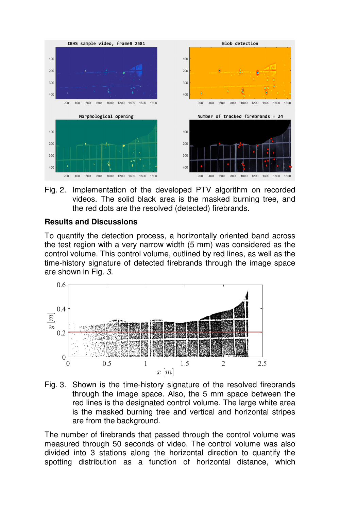

Fig. 2. Implementation of the developed PTV algorithm on recorded videos. The solid black area is the masked burning tree, and the red dots are the resolved (detected) firebrands.

#### **Results and Discussions**

To quantify the detection process, a horizontally oriented band across the test region with a very narrow width (5 mm) was considered as the control volume. This control volume, outlined by red lines, as well as the time-history signature of detected firebrands through the image space are shown in Fig. 3.



Fig. 3. Shown is the time-history signature of the resolved firebrands through the image space. Also, the 5 mm space between the red lines is the designated control volume. The large white area is the masked burning tree and vertical and horizontal stripes are from the background.

The number of firebrands that passed through the control volume was measured through 50 seconds of video. The control volume was also divided into 3 stations along the horizontal direction to quantify the spotting distribution as a function of horizontal distance, which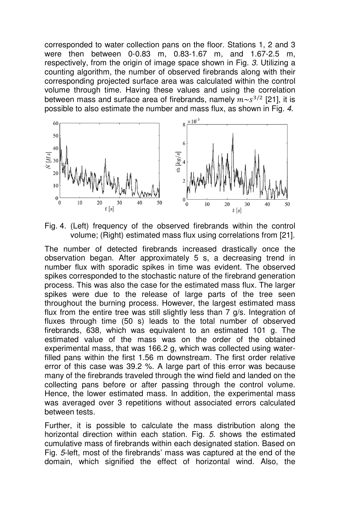corresponded to water collection pans on the floor. Stations 1, 2 and 3 were then between 0-0.83 m, 0.83-1.67 m, and 1.67-2.5 m, respectively, from the origin of image space shown in Fig. 3. Utilizing a counting algorithm, the number of observed firebrands along with their corresponding projected surface area was calculated within the control volume through time. Having these values and using the correlation between mass and surface area of firebrands, namely  $m \sim s^{3/2}$  [21], it is possible to also estimate the number and mass flux, as shown in Fig. 4.



Fig. 4. (Left) frequency of the observed firebrands within the control volume; (Right) estimated mass flux using correlations from [21].

The number of detected firebrands increased drastically once the observation began. After approximately 5 s, a decreasing trend in number flux with sporadic spikes in time was evident. The observed spikes corresponded to the stochastic nature of the firebrand generation process. This was also the case for the estimated mass flux. The larger spikes were due to the release of large parts of the tree seen throughout the burning process. However, the largest estimated mass flux from the entire tree was still slightly less than 7 g/s. Integration of fluxes through time (50 s) leads to the total number of observed firebrands, 638, which was equivalent to an estimated 101 g. The estimated value of the mass was on the order of the obtained experimental mass, that was 166.2 g, which was collected using waterfilled pans within the first 1.56 m downstream. The first order relative error of this case was 39.2 %. A large part of this error was because many of the firebrands traveled through the wind field and landed on the collecting pans before or after passing through the control volume. Hence, the lower estimated mass. In addition, the experimental mass was averaged over 3 repetitions without associated errors calculated between tests.

Further, it is possible to calculate the mass distribution along the horizontal direction within each station. Fig. 5. shows the estimated cumulative mass of firebrands within each designated station. Based on Fig. 5-left, most of the firebrands' mass was captured at the end of the domain, which signified the effect of horizontal wind. Also, the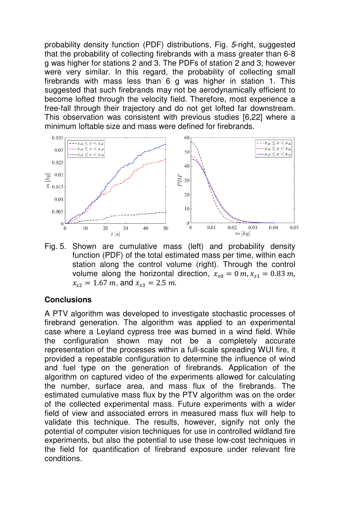probability density function (PDF) distributions, Fig. 5-right, suggested that the probability of collecting firebrands with a mass greater than 6-8 g was higher for stations 2 and 3. The PDFs of station 2 and 3, however were very similar. In this regard, the probability of collecting small firebrands with mass less than 6 g was higher in station 1. This suggested that such firebrands may not be aerodynamically efficient to become lofted through the velocity field. Therefore, most experience a free-fall through their trajectory and do not get lofted far downstream. This observation was consistent with previous studies [6,22] where a minimum loftable size and mass were defined for firebrands.



Fig. 5. Shown are cumulative mass (left) and probability density function (PDF) of the total estimated mass per time, within each station along the control volume (right). Through the control volume along the horizontal direction,  $x_{s0} = 0$  m,  $x_{s1} = 0.83$  m,  $x_{s2} = 1.67 \ m$ , and  $x_{s3} = 2.5 \ m$ .

#### **Conclusions**

A PTV algorithm was developed to investigate stochastic processes of firebrand generation. The algorithm was applied to an experimental case where a Leyland cypress tree was burned in a wind field. While the configuration shown may not be a completely accurate representation of the processes within a full-scale spreading WUI fire, it provided a repeatable configuration to determine the influence of wind and fuel type on the generation of firebrands. Application of the algorithm on captured video of the experiments allowed for calculating the number, surface area, and mass flux of the firebrands. The estimated cumulative mass flux by the PTV algorithm was on the order of the collected experimental mass. Future experiments with a wider field of view and associated errors in measured mass flux will help to validate this technique. The results, however, signify not only the potential of computer vision techniques for use in controlled wildland fire experiments, but also the potential to use these low-cost techniques in the field for quantification of firebrand exposure under relevant fire conditions.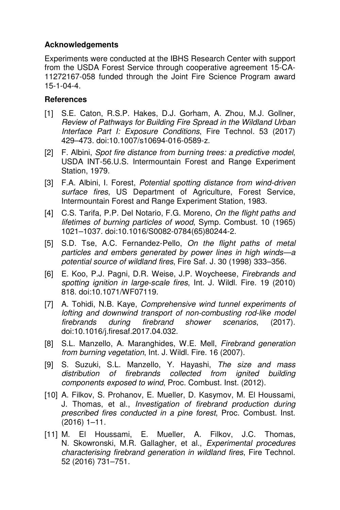### **Acknowledgements**

Experiments were conducted at the IBHS Research Center with support from the USDA Forest Service through cooperative agreement 15-CA-11272167-058 funded through the Joint Fire Science Program award 15-1-04-4.

### **References**

- [1] S.E. Caton, R.S.P. Hakes, D.J. Gorham, A. Zhou, M.J. Gollner, Review of Pathways for Building Fire Spread in the Wildland Urban Interface Part I: Exposure Conditions, Fire Technol. 53 (2017) 429–473. doi:10.1007/s10694-016-0589-z.
- [2] F. Albini, Spot fire distance from burning trees: a predictive model, USDA INT-56.U.S. Intermountain Forest and Range Experiment Station, 1979.
- [3] F.A. Albini, I. Forest, Potential spotting distance from wind-driven surface fires, US Department of Agriculture, Forest Service, Intermountain Forest and Range Experiment Station, 1983.
- [4] C.S. Tarifa, P.P. Del Notario, F.G. Moreno, On the flight paths and lifetimes of burning particles of wood, Symp. Combust. 10 (1965) 1021–1037. doi:10.1016/S0082-0784(65)80244-2.
- [5] S.D. Tse, A.C. Fernandez-Pello, On the flight paths of metal particles and embers generated by power lines in high winds—a potential source of wildland fires, Fire Saf. J. 30 (1998) 333–356.
- [6] E. Koo, P.J. Pagni, D.R. Weise, J.P. Woycheese, Firebrands and spotting ignition in large-scale fires, Int. J. Wildl. Fire. 19 (2010) 818. doi:10.1071/WF07119.
- [7] A. Tohidi, N.B. Kaye, Comprehensive wind tunnel experiments of lofting and downwind transport of non-combusting rod-like model firebrands during firebrand shower scenarios, (2017). doi:10.1016/j.firesaf.2017.04.032.
- [8] S.L. Manzello, A. Maranghides, W.E. Mell, Firebrand generation from burning vegetation, Int. J. Wildl. Fire. 16 (2007).
- [9] S. Suzuki, S.L. Manzello, Y. Hayashi, The size and mass distribution of firebrands collected from ignited building components exposed to wind, Proc. Combust. Inst. (2012).
- [10] A. Filkov, S. Prohanov, E. Mueller, D. Kasymov, M. El Houssami, J. Thomas, et al., Investigation of firebrand production during prescribed fires conducted in a pine forest, Proc. Combust. Inst. (2016) 1–11.
- [11] M. El Houssami, E. Mueller, A. Filkov, J.C. Thomas, N. Skowronski, M.R. Gallagher, et al., Experimental procedures characterising firebrand generation in wildland fires, Fire Technol. 52 (2016) 731–751.